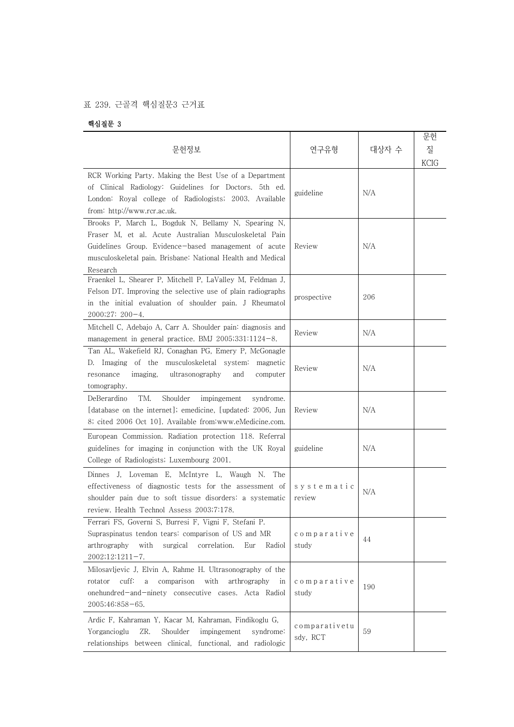## 표 239. 근골격 핵심질문3 근거표

핵심질문 3

| 문헌정보                                                                                                                                                                                                                                             | 연구유형                      | 대상자 수 | 문헌<br>질<br><b>KCIG</b> |
|--------------------------------------------------------------------------------------------------------------------------------------------------------------------------------------------------------------------------------------------------|---------------------------|-------|------------------------|
| RCR Working Party. Making the Best Use of a Department<br>of Clinical Radiology: Guidelines for Doctors. 5th ed.<br>London: Royal college of Radiologists; 2003. Available<br>from: http://www.rcr.ac.uk.                                        | guideline                 | N/A   |                        |
| Brooks P, March L, Bogduk N, Bellamy N, Spearing N,<br>Fraser M, et al. Acute Australian Musculoskeletal Pain<br>Guidelines Group. Evidence-based management of acute<br>musculoskeletal pain. Brisbane: National Health and Medical<br>Research | Review                    | N/A   |                        |
| Fraenkel L, Shearer P, Mitchell P, LaValley M, Feldman J,<br>Felson DT. Improving the selective use of plain radiographs<br>in the initial evaluation of shoulder pain. J Rheumatol<br>2000;27: 200-4.                                           | prospective               | 206   |                        |
| Mitchell C, Adebajo A, Carr A. Shoulder pain: diagnosis and<br>management in general practice. BMJ $2005;331:1124-8$ .                                                                                                                           | Review                    | N/A   |                        |
| Tan AL, Wakefield RJ, Conaghan PG, Emery P, McGonagle<br>D. Imaging of the musculoskeletal system: magnetic<br>ultrasonography<br>resonance<br>imaging,<br>and<br>computer<br>tomography.                                                        | Review                    | N/A   |                        |
| TM.<br>DeBerardino<br>Shoulder<br>impingement<br>syndrome.<br>[database on the internet]; emedicine, [updated: 2006, Jun<br>8; cited 2006 Oct 10]. Available from www.eMedicine.com.                                                             | Review                    | N/A   |                        |
| European Commission. Radiation protection 118. Referral<br>guidelines for imaging in conjunction with the UK Royal<br>College of Radiologists; Luxembourg 2001.                                                                                  | guideline                 | N/A   |                        |
| Dinnes J, Loveman E, McIntyre L, Waugh N. The<br>effectiveness of diagnostic tests for the assessment of<br>shoulder pain due to soft tissue disorders: a systematic<br>review. Health Technol Assess 2003;7:178.                                | systematic<br>review      | N/A   |                        |
| Ferrari FS, Governi S, Burresi F, Vigni F, Stefani P.<br>Supraspinatus tendon tears: comparison of US and MR<br>arthrography<br>with<br>surgical<br>correlation.<br>Eur<br>Radiol<br>$2002;12:1211-7.$                                           | comparative<br>study      | 44    |                        |
| Milosavljevic J, Elvin A, Rahme H. Ultrasonography of the<br>comparison<br>with<br>$\text{cuff}:$<br>arthrography<br>rotator<br>a<br>in<br>onehundred-and-ninety consecutive cases. Acta Radiol<br>$2005;46:858-65.$                             | comparative<br>study      | 190   |                        |
| Ardic F, Kahraman Y, Kacar M, Kahraman, Findikoglu G,<br>Yorgancioglu<br>ZR.<br>Shoulder<br>impingement<br>syndrome:<br>relationships between clinical, functional, and radiologic                                                               | comparativetu<br>sdy, RCT | 59    |                        |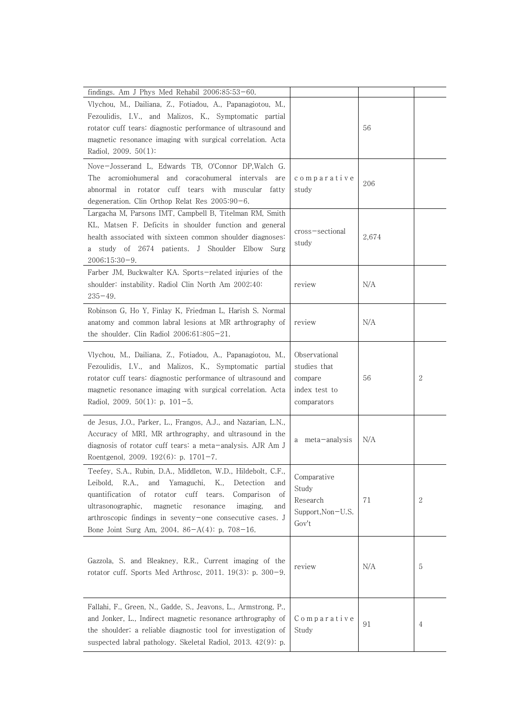| findings. Am J Phys Med Rehabil $2006;85:53-60$ .                                                                                                                                                                                                                                                                                                                      |                                                                          |       |              |
|------------------------------------------------------------------------------------------------------------------------------------------------------------------------------------------------------------------------------------------------------------------------------------------------------------------------------------------------------------------------|--------------------------------------------------------------------------|-------|--------------|
| Vlychou, M., Dailiana, Z., Fotiadou, A., Papanagiotou, M.,<br>Fezoulidis, I.V., and Malizos, K., Symptomatic partial<br>rotator cuff tears: diagnostic performance of ultrasound and<br>magnetic resonance imaging with surgical correlation. Acta<br>Radiol, 2009. 50(1):                                                                                             |                                                                          | 56    |              |
| Nove-Josserand L, Edwards TB, O'Connor DP, Walch G.<br>The acromiohumeral and coracohumeral intervals are<br>cuff tears with muscular fatty<br>abnormal in rotator<br>degeneration. Clin Orthop Relat Res 2005:90-6.                                                                                                                                                   | comparative<br>study                                                     | 206   |              |
| Largacha M, Parsons IMT, Campbell B, Titelman RM, Smith<br>KL, Matsen F. Deficits in shoulder function and general<br>health associated with sixteen common shoulder diagnoses:<br>study of 2674 patients. J Shoulder Elbow Surg<br>a<br>$2006;15:30-9.$                                                                                                               | cross-sectional<br>study                                                 | 2,674 |              |
| Farber JM, Buckwalter KA. Sports-related injuries of the<br>shoulder: instability. Radiol Clin North Am 2002;40:<br>$235 - 49.$                                                                                                                                                                                                                                        | review                                                                   | N/A   |              |
| Robinson G, Ho Y, Finlay K, Friedman L, Harish S. Normal<br>anatomy and common labral lesions at MR arthrography of<br>the shoulder. Clin Radiol $2006;61:805-21$ .                                                                                                                                                                                                    | review                                                                   | N/A   |              |
| Vlychou, M., Dailiana, Z., Fotiadou, A., Papanagiotou, M.,<br>Fezoulidis, I.V., and Malizos, K., Symptomatic partial<br>rotator cuff tears: diagnostic performance of ultrasound and<br>magnetic resonance imaging with surgical correlation. Acta<br>Radiol, 2009. $50(1)$ : p. $101-5$ .                                                                             | Observational<br>studies that<br>compare<br>index test to<br>comparators | 56    | $\mathbf{2}$ |
| de Jesus, J.O., Parker, L., Frangos, A.J., and Nazarian, L.N.,<br>Accuracy of MRI, MR arthrography, and ultrasound in the<br>diagnosis of rotator cuff tears: a meta-analysis. AJR Am J<br>Roentgenol, 2009. 192(6): p. 1701-7.                                                                                                                                        | meta-analysis<br>a                                                       | N/A   |              |
| Teefey, S.A., Rubin, D.A., Middleton, W.D., Hildebolt, C.F.<br>Leibold, R.A.,<br>and Yamaguchi, K.,<br>Detection<br>and<br>quantification of<br>rotator cuff tears.<br>Comparison<br>of<br>ultrasonographic,<br>magnetic<br>resonance<br>imaging,<br>and<br>arthroscopic findings in seventy-one consecutive cases. J<br>Bone Joint Surg Am, 2004. 86-A(4): p. 708-16. | Comparative<br>Study<br>Research<br>Support, Non-U.S.<br>Gov't           | 71    | $\mathbf{2}$ |
| Gazzola, S. and Bleakney, R.R., Current imaging of the<br>rotator cuff. Sports Med Arthrosc, 2011. $19(3)$ : p. $300-9$ .                                                                                                                                                                                                                                              | review                                                                   | N/A   | 5            |
| Fallahi, F., Green, N., Gadde, S., Jeavons, L., Armstrong, P.,<br>and Jonker, L., Indirect magnetic resonance arthrography of<br>the shoulder; a reliable diagnostic tool for investigation of<br>suspected labral pathology. Skeletal Radiol, 2013. 42(9): p.                                                                                                         | Comparative<br>Study                                                     | 91    | 4            |